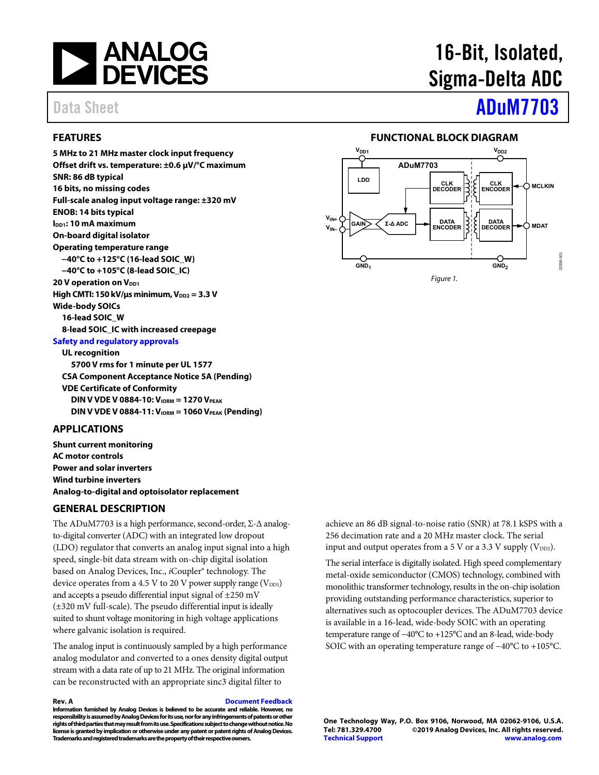

# 16-Bit, Isolated, Sigma-Delta ADC

# Data Sheet **[ADuM7703](https://www.analog.com/ADuM7703?doc=ADuM7703.pdf)**

### <span id="page-0-0"></span>**FEATURES**

**5 MHz to 21 MHz master clock input frequency Offset drift vs. temperature: ±0.6 μV/°C maximum SNR: 86 dB typical 16 bits, no missing codes Full-scale analog input voltage range: ±320 mV ENOB: 14 bits typical IDD1: 10 mA maximum On-board digital isolator Operating temperature range −40°C to +125°C (16-lead SOIC\_W) −40°C to +105°C (8-lead SOIC\_IC) 20 V operation on VDD1 High CMTI: 150 kV/μs minimum, V**<sub>DD2</sub> = 3.3 V **Wide-body SOICs 16-lead SOIC\_W 8-lead SOIC\_IC with increased creepage [Safety and regulatory approvals](https://www.analog.com/icouplersafety?doc=ADuM7703.pdf)**

**UL recognition 5700 V rms for 1 minute per UL 1577 CSA Component Acceptance Notice 5A (Pending) VDE Certificate of Conformity DIN V VDE V 0884-10: V<sub>IORM</sub> = 1270 V<sub>PEAK</sub> DIN V VDE V 0884-11: V<sub>IORM</sub> = 1060 V<sub>PEAK</sub> (Pending)** 

#### <span id="page-0-1"></span>**APPLICATIONS**

**Shunt current monitoring AC motor controls Power and solar inverters Wind turbine inverters Analog-to-digital and optoisolator replacement** 

#### <span id="page-0-3"></span>**GENERAL DESCRIPTION**

The ADuM7703 is a high performance, second-order, Σ-Δ analogto-digital converter (ADC) with an integrated low dropout (LDO) regulator that converts an analog input signal into a high speed, single-bit data stream with on-chip digital isolation based on Analog Devices, Inc., *i*Coupler® technology. The device operates from a 4.5 V to 20 V power supply range  $(V_{DD1})$ and accepts a pseudo differential input signal of  $\pm 250$  mV (±320 mV full-scale). The pseudo differential input is ideally suited to shunt voltage monitoring in high voltage applications where galvanic isolation is required.

The analog input is continuously sampled by a high performance analog modulator and converted to a ones density digital output stream with a data rate of up to 21 MHz. The original information can be reconstructed with an appropriate sinc3 digital filter to

**Rev. A [Document Feedback](https://form.analog.com/Form_Pages/feedback/documentfeedback.aspx?doc=ADuM7703.pdf&product=ADuM7703&rev=A)** 

**Information furnished by Analog Devices is believed to be accurate and reliable. However, no responsibility is assumed by Analog Devices for its use, nor for any infringements of patents or other rights of third parties that may result from its use. Specifications subject to change without notice. No license is granted by implication or otherwise under any patent or patent rights of Analog Devices. Trademarks and registered trademarks are the property of their respective owners.** 

### **FUNCTIONAL BLOCK DIAGRAM**

<span id="page-0-2"></span>

achieve an 86 dB signal-to-noise ratio (SNR) at 78.1 kSPS with a 256 decimation rate and a 20 MHz master clock. The serial input and output operates from a 5 V or a 3.3 V supply  $(V_{DD2})$ .

The serial interface is digitally isolated. High speed complementary metal-oxide semiconductor (CMOS) technology, combined with monolithic transformer technology, results in the on-chip isolation providing outstanding performance characteristics, superior to alternatives such as optocoupler devices. The ADuM7703 device is available in a 16-lead, wide-body SOIC with an operating temperature range of −40°C to +125°C and an 8-lead, wide-body SOIC with an operating temperature range of −40°C to +105°C.

**One Technology Way, P.O. Box 9106, Norwood, MA 02062-9106, U.S.A. Tel: 781.329.4700 ©2019 Analog Devices, Inc. All rights reserved. [Technical Support](http://www.analog.com/en/content/technical_support_page/fca.html) [www.analog.com](http://www.analog.com/)**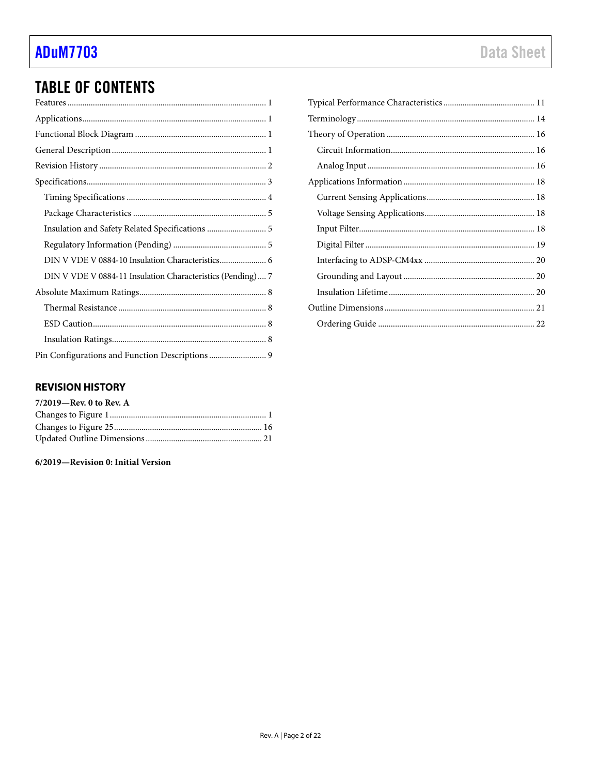# **TABLE OF CONTENTS**

| Insulation and Safety Related Specifications  5            |
|------------------------------------------------------------|
|                                                            |
| DIN V VDE V 0884-10 Insulation Characteristics 6           |
| DIN V VDE V 0884-11 Insulation Characteristics (Pending) 7 |
|                                                            |
|                                                            |
|                                                            |
|                                                            |
| Pin Configurations and Function Descriptions  9            |

### <span id="page-1-0"></span>**REVISION HISTORY**

| $7/2019$ –Rev. 0 to Rev. A |  |
|----------------------------|--|
|                            |  |
|                            |  |
|                            |  |

6/2019-Revision 0: Initial Version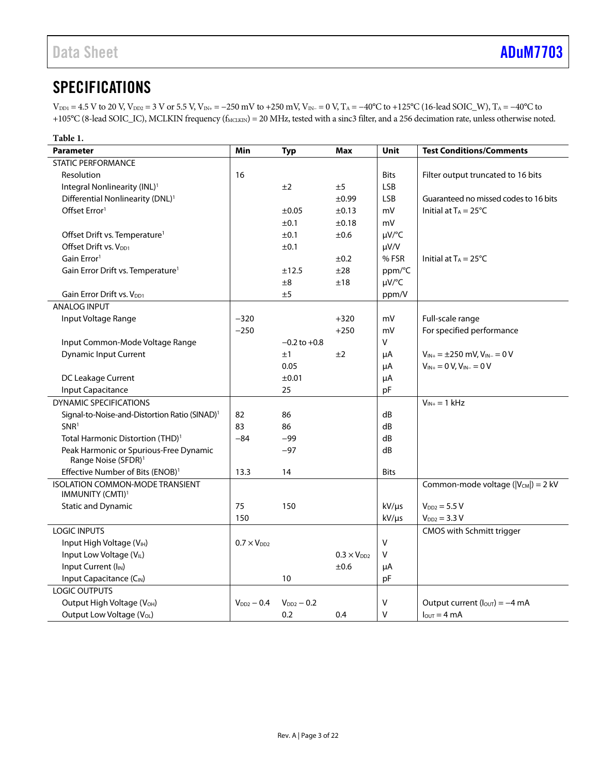# <span id="page-2-0"></span>**SPECIFICATIONS**

 $V_{\text{DD1}} = 4.5 \text{ V}$  to 20 V,  $V_{\text{DD2}} = 3 \text{ V}$  or 5.5 V,  $V_{\text{IN+}} = -250 \text{ mV}$  to +250 mV,  $V_{\text{IN-}} = 0 \text{ V}$ ,  $T_A = -40^{\circ}\text{C}$  to +125°C (16-lead SOIC\_W),  $T_A = -40^{\circ}\text{C}$  to +105°C (8-lead SOIC\_IC), MCLKIN frequency (f<sub>MCLKIN</sub>) = 20 MHz, tested with a sinc3 filter, and a 256 decimation rate, unless otherwise noted.

| Table 1.                                                               |                      |                  |                      |             |                                             |
|------------------------------------------------------------------------|----------------------|------------------|----------------------|-------------|---------------------------------------------|
| <b>Parameter</b>                                                       | Min                  | <b>Typ</b>       | Max                  | Unit        | <b>Test Conditions/Comments</b>             |
| <b>STATIC PERFORMANCE</b>                                              |                      |                  |                      |             |                                             |
| Resolution                                                             | 16                   |                  |                      | <b>Bits</b> | Filter output truncated to 16 bits          |
| Integral Nonlinearity (INL) <sup>1</sup>                               |                      | ±2               | ±5                   | <b>LSB</b>  |                                             |
| Differential Nonlinearity (DNL) <sup>1</sup>                           |                      |                  | ±0.99                | <b>LSB</b>  | Guaranteed no missed codes to 16 bits       |
| Offset Error <sup>1</sup>                                              |                      | ±0.05            | $\pm 0.13$           | mV          | Initial at $T_A = 25^{\circ}C$              |
|                                                                        |                      | ±0.1             | ±0.18                | mV          |                                             |
| Offset Drift vs. Temperature <sup>1</sup>                              |                      | ±0.1             | ±0.6                 | µV/°C       |                                             |
| Offset Drift vs. V <sub>DD1</sub>                                      |                      | ±0.1             |                      | $\mu V/V$   |                                             |
| Gain Error <sup>1</sup>                                                |                      |                  | ±0.2                 | %FSR        | Initial at $T_A = 25^{\circ}C$              |
| Gain Error Drift vs. Temperature <sup>1</sup>                          |                      | ±12.5            | ±28                  | ppm/°C      |                                             |
|                                                                        |                      | ±8               | ±18                  | µV/°C       |                                             |
| Gain Error Drift vs. V <sub>DD1</sub>                                  |                      | ±5               |                      | ppm/V       |                                             |
| <b>ANALOG INPUT</b>                                                    |                      |                  |                      |             |                                             |
| Input Voltage Range                                                    | $-320$               |                  | $+320$               | mV          | Full-scale range                            |
|                                                                        | $-250$               |                  | $+250$               | mV          | For specified performance                   |
| Input Common-Mode Voltage Range                                        |                      | $-0.2$ to $+0.8$ |                      | v           |                                             |
| <b>Dynamic Input Current</b>                                           |                      | ±1               | ±2                   | μA          | $V_{IN+} = \pm 250$ mV, $V_{IN-} = 0$ V     |
|                                                                        |                      | 0.05             |                      | μA          | $V_{IN+} = 0 V, V_{IN-} = 0 V$              |
| DC Leakage Current                                                     |                      | ±0.01            |                      | μA          |                                             |
| <b>Input Capacitance</b>                                               |                      | 25               |                      | pF          |                                             |
| <b>DYNAMIC SPECIFICATIONS</b>                                          |                      |                  |                      |             | $V_{IN+} = 1$ kHz                           |
| Signal-to-Noise-and-Distortion Ratio (SINAD) <sup>1</sup>              | 82                   | 86               |                      | dB          |                                             |
| SNR <sup>1</sup>                                                       | 83                   | 86               |                      | dB          |                                             |
| Total Harmonic Distortion (THD) <sup>1</sup>                           | $-84$                | $-99$            |                      | dB          |                                             |
| Peak Harmonic or Spurious-Free Dynamic                                 |                      | $-97$            |                      | dB          |                                             |
| Range Noise (SFDR) <sup>1</sup>                                        |                      |                  |                      |             |                                             |
| Effective Number of Bits (ENOB) <sup>1</sup>                           | 13.3                 | 14               |                      | <b>Bits</b> |                                             |
| <b>ISOLATION COMMON-MODE TRANSIENT</b><br>IMMUNITY (CMTI) <sup>1</sup> |                      |                  |                      |             | Common-mode voltage ( $ V_{CM} $ ) = 2 kV   |
| <b>Static and Dynamic</b>                                              | 75                   | 150              |                      | $kV/\mu s$  | $V_{DD2} = 5.5 V$                           |
|                                                                        | 150                  |                  |                      | kV/µs       | $V_{DD2} = 3.3 V$                           |
| <b>LOGIC INPUTS</b>                                                    |                      |                  |                      |             | CMOS with Schmitt trigger                   |
| Input High Voltage (VIH)                                               | $0.7 \times V_{DD2}$ |                  |                      | V           |                                             |
| Input Low Voltage (VIL)                                                |                      |                  | $0.3 \times V_{DD2}$ | V           |                                             |
| Input Current (I <sub>IN</sub> )                                       |                      |                  | ±0.6                 | μA          |                                             |
| Input Capacitance (C <sub>IN</sub> )                                   |                      | 10               |                      | pF          |                                             |
| <b>LOGIC OUTPUTS</b>                                                   |                      |                  |                      |             |                                             |
| Output High Voltage (V <sub>OH</sub> )                                 | $V_{DD2} - 0.4$      | $V_{DD2} - 0.2$  |                      | v           | Output current ( $I_{\text{OUT}}$ ) = -4 mA |
| Output Low Voltage (VoL)                                               |                      | 0.2              | 0.4                  | $\vee$      | $I_{\text{OUT}} = 4 \text{ mA}$             |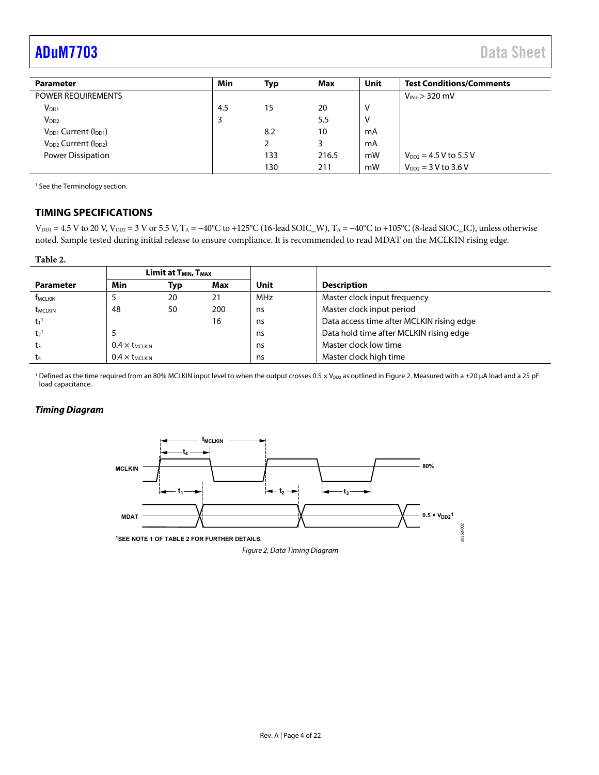# <span id="page-3-1"></span>[ADuM7703](https://www.analog.com/ADuM7703?doc=ADuM7703.pdf) Data Sheet

| <b>Parameter</b>                | Min | Typ | Max   | Unit | <b>Test Conditions/Comments</b> |
|---------------------------------|-----|-----|-------|------|---------------------------------|
| POWER REQUIREMENTS              |     |     |       |      | $V_{IN+}$ > 320 mV              |
| $V_{DD1}$                       | 4.5 | 15  | 20    | ν    |                                 |
| V <sub>DD2</sub>                |     |     | 5.5   | V    |                                 |
| $V_{DD1}$ Current ( $I_{DD1}$ ) |     | 8.2 | 10    | mA   |                                 |
| $V_{DD2}$ Current ( $I_{DD2}$ ) |     |     | 3     | mA   |                                 |
| Power Dissipation               |     | 133 | 216.5 | mW   | $V_{DD2} = 4.5 V$ to 5.5 V      |
|                                 |     | 130 | 211   | mW   | $V_{DD2} = 3 V to 3.6 V$        |

<sup>1</sup> See th[e Terminology s](#page-13-0)ection.

#### <span id="page-3-0"></span>**TIMING SPECIFICATIONS**

 $V_{\text{DD1}} = 4.5$  V to 20 V,  $V_{\text{DD2}} = 3$  V or 5.5 V, T<sub>A</sub> = −40°C to +125°C (16-lead SOIC\_W), T<sub>A</sub> = −40°C to +105°C (8-lead SIOC\_IC), unless otherwise noted. Sample tested during initial release to ensure compliance. It is recommended to read MDAT on the MCLKIN rising edge.

#### **Table 2.**

|                            |                      | Limit at T <sub>MIN</sub> , T <sub>MAX</sub> |     |            |                                           |
|----------------------------|----------------------|----------------------------------------------|-----|------------|-------------------------------------------|
| <b>Parameter</b>           | Min                  | Typ                                          | Max | Unit       | <b>Description</b>                        |
| <b>f</b> <sub>MCLKIN</sub> |                      | 20                                           | 21  | <b>MHz</b> | Master clock input frequency              |
| <b>t</b> <sub>MCLKIN</sub> | 48                   | 50                                           | 200 | ns         | Master clock input period                 |
| $t_1$ <sup>1</sup>         |                      |                                              | 16  | ns         | Data access time after MCLKIN rising edge |
| t <sub>2</sub>             |                      |                                              |     | ns         | Data hold time after MCLKIN rising edge   |
| t3                         | $0.4 \times$ LMCLKIN |                                              |     | ns         | Master clock low time                     |
| t4                         | $0.4\times t$ MCLKIN |                                              |     | ns         | Master clock high time                    |

<sup>1</sup> Defined as the time required from an 80% MCLKIN input level to when the output crosses 0.5 × V<sub>DD2</sub> as outlined i[n Figure 2.](#page-3-2) Measured with a ±20 μA load and a 25 pF load capacitance.

#### **Timing Diagram**

<span id="page-3-2"></span>

Figure 2. Data Timing Diagram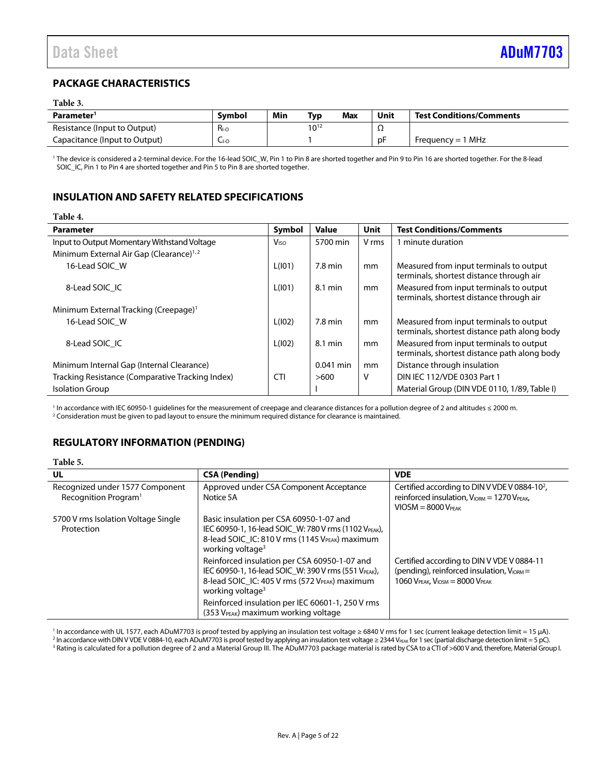### <span id="page-4-0"></span>**PACKAGE CHARACTERISTICS**

#### **Table 3.**

**Table 4.** 

| Parameter <sup>1</sup>        | <b>Symbol</b> | Min | Typ       | <b>Max</b> | Unit | <b>Test Conditions/Comments</b> |
|-------------------------------|---------------|-----|-----------|------------|------|---------------------------------|
| Resistance (Input to Output)  | $R_{I-O}$     |     | $10^{12}$ |            | ▵▴   |                                 |
| Capacitance (Input to Output) | $L_{\mid O}$  |     |           |            | рF   | Frequency = $1$ MHz             |

1 The device is considered a 2-terminal device. For the 16-lead SOIC\_W, Pin 1 to Pin 8 are shorted together and Pin 9 to Pin 16 are shorted together. For the 8-lead SOIC\_IC, Pin 1 to Pin 4 are shorted together and Pin 5 to Pin 8 are shorted together.

#### <span id="page-4-1"></span>**INSULATION AND SAFETY RELATED SPECIFICATIONS**

| l able 4.                                           |                         |                   |             |                                                                                         |
|-----------------------------------------------------|-------------------------|-------------------|-------------|-----------------------------------------------------------------------------------------|
| <b>Parameter</b>                                    | Symbol                  | Value             | <b>Unit</b> | <b>Test Conditions/Comments</b>                                                         |
| Input to Output Momentary Withstand Voltage         | <b>V</b> <sub>ISO</sub> | 5700 min          | V rms       | 1 minute duration                                                                       |
| Minimum External Air Gap (Clearance) <sup>1,2</sup> |                         |                   |             |                                                                                         |
| 16-Lead SOIC W                                      | L(101)                  | $7.8 \text{ min}$ | mm          | Measured from input terminals to output<br>terminals, shortest distance through air     |
| 8-Lead SOIC IC                                      | L(101)                  | 8.1 min           | mm          | Measured from input terminals to output<br>terminals, shortest distance through air     |
| Minimum External Tracking (Creepage) <sup>1</sup>   |                         |                   |             |                                                                                         |
| 16-Lead SOIC W                                      | L(102)                  | 7.8 min           | mm          | Measured from input terminals to output<br>terminals, shortest distance path along body |
| 8-Lead SOIC IC                                      | L(102)                  | 8.1 min           | mm          | Measured from input terminals to output<br>terminals, shortest distance path along body |
| Minimum Internal Gap (Internal Clearance)           |                         | $0.041$ min       | mm          | Distance through insulation                                                             |
| Tracking Resistance (Comparative Tracking Index)    | <b>CTI</b>              | >600              | v           | DIN IEC 112/VDE 0303 Part 1                                                             |
| <b>Isolation Group</b>                              |                         |                   |             | Material Group (DIN VDE 0110, 1/89, Table I)                                            |

<sup>1</sup> In accordance with IEC 60950-1 guidelines for the measurement of creepage and clearance distances for a pollution degree of 2 and altitudes ≤ 2000 m.<br><sup>2</sup> Consideration must be given to pad lavout to ensure the minimum <sup>2</sup> Consideration must be given to pad layout to ensure the minimum required distance for clearance is maintained.

#### <span id="page-4-2"></span>**REGULATORY INFORMATION (PENDING)**

#### **Table 5.**

| UL                                                                  | <b>CSA (Pending)</b>                                                                                                                                                                 | <b>VDE</b>                                                                                                                                               |
|---------------------------------------------------------------------|--------------------------------------------------------------------------------------------------------------------------------------------------------------------------------------|----------------------------------------------------------------------------------------------------------------------------------------------------------|
| Recognized under 1577 Component<br>Recognition Program <sup>1</sup> | Approved under CSA Component Acceptance<br>Notice 5A                                                                                                                                 | Certified according to DIN V VDE V 0884-10 <sup>2</sup> ,<br>reinforced insulation, V <sub>IORM</sub> = 1270 V <sub>PEAK</sub> ,<br>$VIOSM = 8000 VPEAK$ |
| 5700 V rms Isolation Voltage Single<br>Protection                   | Basic insulation per CSA 60950-1-07 and<br>IEC 60950-1, 16-lead SOIC W: 780 V rms (1102 VPEAK),<br>8-lead SOIC IC: 810 V rms (1145 VPEAK) maximum<br>working voltage <sup>3</sup>    |                                                                                                                                                          |
|                                                                     | Reinforced insulation per CSA 60950-1-07 and<br>IEC 60950-1, 16-lead SOIC_W: 390 V rms (551 VPEAK),<br>8-lead SOIC_IC: 405 V rms (572 VPEAK) maximum<br>working voltage <sup>3</sup> | Certified according to DIN V VDE V 0884-11<br>(pending), reinforced insulation, $V_{\text{ICRM}} =$<br>$1060$ VPEAK, $V_{\text{IOSM}} = 8000$ VPEAK      |
|                                                                     | Reinforced insulation per IEC 60601-1, 250 V rms<br>(353 V <sub>PEAK</sub> ) maximum working voltage                                                                                 |                                                                                                                                                          |

<sup>1</sup> In accordance with UL 1577, each ADuM7703 is proof tested by applying an insulation test voltage ≥ 6840 V rms for 1 sec (current leakage detection limit = 15 µA).<br><sup>2</sup> In accordance with DIN V VDE V 0884-10, each ADuM7

<sup>2</sup> In accordance with DIN V VDE V 0884-10, each ADuM7703 is proof tested by applying an insulation test voltage ≥ 2344 V<sub>PEAK</sub> for 1 sec (partial discharge detection limit = 5 pC). <sup>3</sup> Rating is calculated for a pollution degree of 2 and a Material Group III. The ADuM7703 package material is rated by CSA to a CTI of >600 V and, therefore, Material Group I.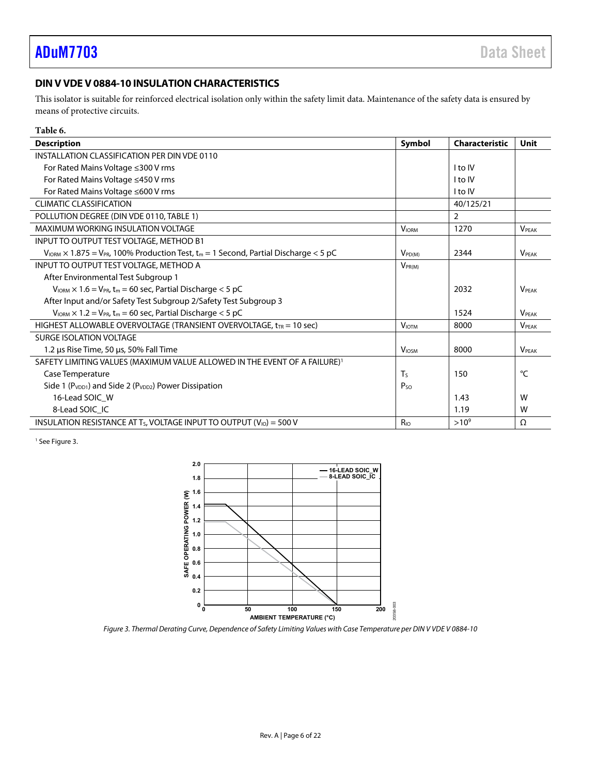### <span id="page-5-0"></span>**DIN V VDE V 0884-10 INSULATION CHARACTERISTICS**

This isolator is suitable for reinforced electrical isolation only within the safety limit data. Maintenance of the safety data is ensured by means of protective circuits.

| Table 6.                                                                                                     |                 |                       |                          |
|--------------------------------------------------------------------------------------------------------------|-----------------|-----------------------|--------------------------|
| <b>Description</b>                                                                                           | Symbol          | <b>Characteristic</b> | Unit                     |
| INSTALLATION CLASSIFICATION PER DIN VDE 0110                                                                 |                 |                       |                          |
| For Rated Mains Voltage ≤300 V rms                                                                           |                 | I to IV               |                          |
| For Rated Mains Voltage ≤450 V rms                                                                           |                 | l to IV               |                          |
| For Rated Mains Voltage ≤600 V rms                                                                           |                 | I to IV               |                          |
| <b>CLIMATIC CLASSIFICATION</b>                                                                               |                 | 40/125/21             |                          |
| POLLUTION DEGREE (DIN VDE 0110, TABLE 1)                                                                     |                 | $\overline{2}$        |                          |
| <b>MAXIMUM WORKING INSULATION VOLTAGE</b>                                                                    | <b>VIORM</b>    | 1270                  | <b>VPFAK</b>             |
| INPUT TO OUTPUT TEST VOLTAGE, METHOD B1                                                                      |                 |                       |                          |
| $V_{IORM} \times 1.875 = V_{PR}$ , 100% Production Test, t <sub>m</sub> = 1 Second, Partial Discharge < 5 pC | $V_{PDM}$       | 2344                  | <b>V</b> <sub>PEAK</sub> |
| <b>INPUT TO OUTPUT TEST VOLTAGE, METHOD A</b>                                                                | $V_{PR(M)}$     |                       |                          |
| After Environmental Test Subgroup 1                                                                          |                 |                       |                          |
| $V_{\text{IORM}} \times 1.6 = V_{\text{PR}}$ , t <sub>m</sub> = 60 sec, Partial Discharge < 5 pC             |                 | 2032                  | <b>VPFAK</b>             |
| After Input and/or Safety Test Subgroup 2/Safety Test Subgroup 3                                             |                 |                       |                          |
| $V_{\text{IORM}} \times 1.2 = V_{\text{PR}}$ , t <sub>m</sub> = 60 sec, Partial Discharge < 5 pC             |                 | 1524                  | <b>VPFAK</b>             |
| HIGHEST ALLOWABLE OVERVOLTAGE (TRANSIENT OVERVOLTAGE, $t_{TR}$ = 10 sec)                                     | <b>VIOTM</b>    | 8000                  | <b>VPFAK</b>             |
| <b>SURGE ISOLATION VOLTAGE</b>                                                                               |                 |                       |                          |
| 1.2 µs Rise Time, 50 µs, 50% Fall Time                                                                       | <b>VIOSM</b>    | 8000                  | <b>VPFAK</b>             |
| SAFETY LIMITING VALUES (MAXIMUM VALUE ALLOWED IN THE EVENT OF A FAILURE) <sup>1</sup>                        |                 |                       |                          |
| Case Temperature                                                                                             | $T_{S}$         | 150                   | °C                       |
| Side 1 (P <sub>VDD1</sub> ) and Side 2 (P <sub>VDD2</sub> ) Power Dissipation                                | P <sub>SO</sub> |                       |                          |
| 16-Lead SOIC W                                                                                               |                 | 1.43                  | W                        |
| 8-Lead SOIC IC                                                                                               |                 | 1.19                  | W                        |
| INSULATION RESISTANCE AT T <sub>S</sub> , VOLTAGE INPUT TO OUTPUT ( $V_{10}$ ) = 500 V                       | R <sub>IO</sub> | $>10^{9}$             | Ω                        |

<sup>1</sup> See Figure 3.



<span id="page-5-1"></span>Figure 3. Thermal Derating Curve, Dependence of Safety Limiting Values with Case Temperature per DIN V VDE V 0884-10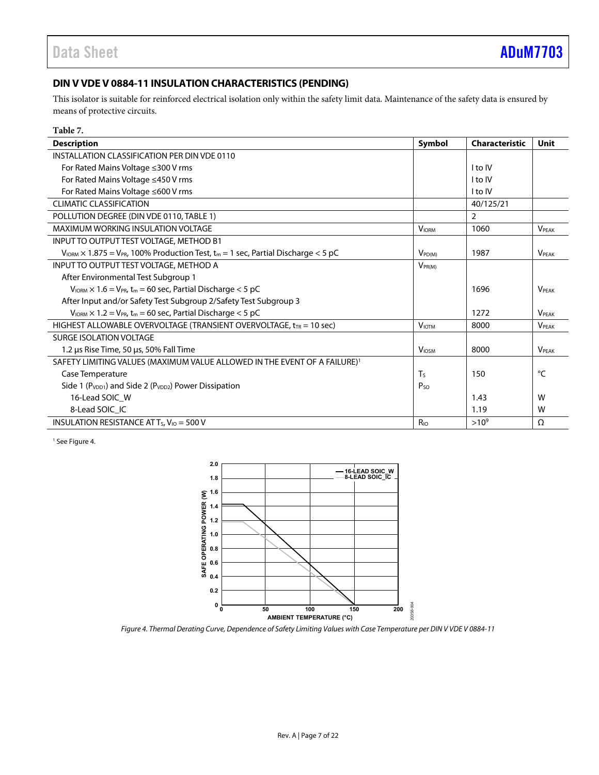### <span id="page-6-0"></span>**DIN V VDE V 0884-11 INSULATION CHARACTERISTICS (PENDING)**

This isolator is suitable for reinforced electrical isolation only within the safety limit data. Maintenance of the safety data is ensured by means of protective circuits.

| Table 7.                                                                                                                |                          |                       |              |
|-------------------------------------------------------------------------------------------------------------------------|--------------------------|-----------------------|--------------|
| <b>Description</b>                                                                                                      | Symbol                   | <b>Characteristic</b> | Unit         |
| INSTALLATION CLASSIFICATION PER DIN VDE 0110                                                                            |                          |                       |              |
| For Rated Mains Voltage ≤300 V rms                                                                                      |                          | I to IV               |              |
| For Rated Mains Voltage ≤450 V rms                                                                                      |                          | I to IV               |              |
| For Rated Mains Voltage ≤600 V rms                                                                                      |                          | I to IV               |              |
| <b>CLIMATIC CLASSIFICATION</b>                                                                                          |                          | 40/125/21             |              |
| POLLUTION DEGREE (DIN VDE 0110, TABLE 1)                                                                                |                          | $\overline{2}$        |              |
| <b>MAXIMUM WORKING INSULATION VOLTAGE</b>                                                                               | <b>VIORM</b>             | 1060                  | <b>VPFAK</b> |
| INPUT TO OUTPUT TEST VOLTAGE, METHOD B1                                                                                 |                          |                       |              |
| $V_{\text{IORM}} \times 1.875 = V_{\text{PR}}$ , 100% Production Test, t <sub>m</sub> = 1 sec, Partial Discharge < 5 pC | $V_{PDM}$                | 1987                  | <b>VPFAK</b> |
| INPUT TO OUTPUT TEST VOLTAGE, METHOD A                                                                                  | $V_{PR(M)}$              |                       |              |
| After Environmental Test Subgroup 1                                                                                     |                          |                       |              |
| $V_{\text{IORM}} \times 1.6 = V_{\text{PR}}$ , t <sub>m</sub> = 60 sec, Partial Discharge < 5 pC                        |                          | 1696                  | <b>VPFAK</b> |
| After Input and/or Safety Test Subgroup 2/Safety Test Subgroup 3                                                        |                          |                       |              |
| $V_{\text{IORM}} \times 1.2 = V_{\text{PR}}$ , t <sub>m</sub> = 60 sec, Partial Discharge < 5 pC                        |                          | 1272                  | <b>VPFAK</b> |
| HIGHEST ALLOWABLE OVERVOLTAGE (TRANSIENT OVERVOLTAGE, $t_{TR}$ = 10 sec)                                                | <b>VIOTM</b>             | 8000                  | <b>VPFAK</b> |
| SURGE ISOLATION VOLTAGE                                                                                                 |                          |                       |              |
| 1.2 us Rise Time, 50 us, 50% Fall Time                                                                                  | <b>V</b> <sub>IOSM</sub> | 8000                  | <b>VPFAK</b> |
| SAFETY LIMITING VALUES (MAXIMUM VALUE ALLOWED IN THE EVENT OF A FAILURE) <sup>1</sup>                                   |                          |                       |              |
| Case Temperature                                                                                                        | <b>T</b> s               | 150                   | °C           |
| Side 1 (P <sub>VDD1</sub> ) and Side 2 (P <sub>VDD2</sub> ) Power Dissipation                                           | $P_{SO}$                 |                       |              |
| 16-Lead SOIC W                                                                                                          |                          | 1.43                  | W            |
| 8-Lead SOIC IC                                                                                                          |                          | 1.19                  | W            |
| INSULATION RESISTANCE AT $T_s$ , $V_{10} = 500$ V                                                                       | R <sub>io</sub>          | $>10^{9}$             | Ω            |

<sup>1</sup> See Figure 4.



<span id="page-6-1"></span>Figure 4. Thermal Derating Curve, Dependence of Safety Limiting Values with Case Temperature per DIN V VDE V 0884-11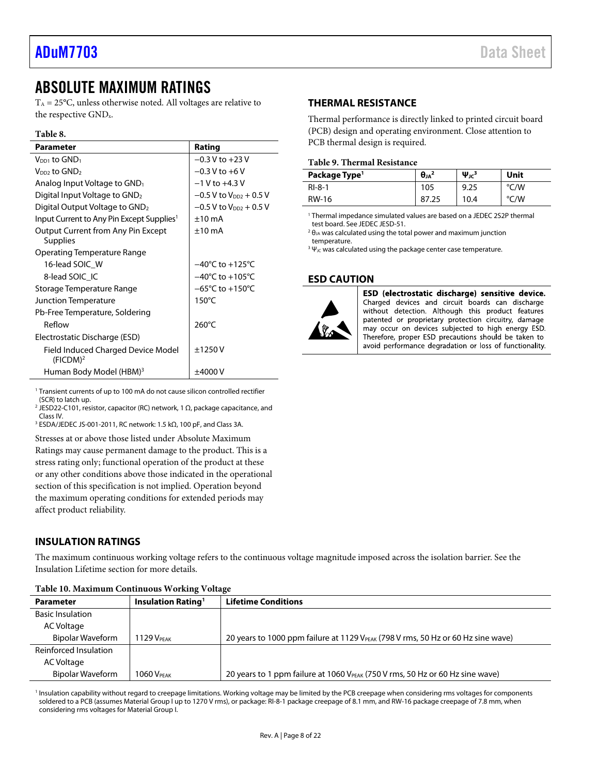## <span id="page-7-0"></span>ABSOLUTE MAXIMUM RATINGS

 $T_A = 25$ °C, unless otherwise noted. All voltages are relative to the respective GNDx.

#### **Table 8.**

| <b>Parameter</b>                                             | Rating                               |
|--------------------------------------------------------------|--------------------------------------|
| $V_{DD1}$ to $GND_1$                                         | $-0.3 V$ to $+23 V$                  |
| V <sub>DD2</sub> to GND <sub>2</sub>                         | $-0.3$ V to $+6$ V                   |
| Analog Input Voltage to $GND_1$                              | $-1$ V to $+4.3$ V                   |
| Digital Input Voltage to GND <sub>2</sub>                    | $-0.5$ V to $V_{DD2}$ + 0.5 V        |
| Digital Output Voltage to $GND2$                             | $-0.5$ V to V <sub>DD2</sub> + 0.5 V |
| Input Current to Any Pin Except Supplies <sup>1</sup>        | $±10$ mA                             |
| <b>Output Current from Any Pin Except</b><br><b>Supplies</b> | $±10$ mA                             |
| Operating Temperature Range                                  |                                      |
| 16-lead SOIC W                                               | $-40^{\circ}$ C to $+125^{\circ}$ C  |
| 8-lead SOIC IC                                               | $-40^{\circ}$ C to $+105^{\circ}$ C  |
| Storage Temperature Range                                    | $-65^{\circ}$ C to $+150^{\circ}$ C  |
| Junction Temperature                                         | $150^{\circ}$ C                      |
| Pb-Free Temperature, Soldering                               |                                      |
| Reflow                                                       | $260^{\circ}$ C                      |
| Electrostatic Discharge (ESD)                                |                                      |
| Field Induced Charged Device Model<br>(FICDM) <sup>2</sup>   | ±1250V                               |
| Human Body Model (HBM) <sup>3</sup>                          | ±4000 V                              |

#### <span id="page-7-1"></span>**THERMAL RESISTANCE**

Thermal performance is directly linked to printed circuit board (PCB) design and operating environment. Close attention to PCB thermal design is required.

#### **Table 9. Thermal Resistance**

| Package Type <sup>1</sup> | $\theta_{JA}^2$ | $\Psi_{\text{JC}}^3$ | Unit |
|---------------------------|-----------------|----------------------|------|
| $RI-8-1$                  | 105             | 9.25                 | °C/W |
| RW-16                     | 87              | 10.4                 | °C/W |

1 Thermal impedance simulated values are based on a JEDEC 2S2P thermal test board. See JEDEC JESD-51.

 $2$  θ<sub>JA</sub> was calculated using the total power and maximum junction temperature.

 $3\Psi_{\text{JC}}$  was calculated using the package center case temperature.

#### <span id="page-7-2"></span>**ESD CAUTION**



ESD (electrostatic discharge) sensitive device. Charged devices and circuit boards can discharge without detection. Although this product features patented or proprietary protection circuitry, damage may occur on devices subjected to high energy ESD. Therefore, proper ESD precautions should be taken to avoid performance degradation or loss of functionality.

<sup>1</sup> Transient currents of up to 100 mA do not cause silicon controlled rectifier (SCR) to latch up.

<sup>2</sup> JESD22-C101, resistor, capacitor (RC) network, 1  $\Omega$ , package capacitance, and Class IV.

3 ESDA/JEDEC JS-001-2011, RC network: 1.5 kΩ, 100 pF, and Class 3A.

Stresses at or above those listed under Absolute Maximum Ratings may cause permanent damage to the product. This is a stress rating only; functional operation of the product at these or any other conditions above those indicated in the operational section of this specification is not implied. Operation beyond the maximum operating conditions for extended periods may affect product reliability.

#### <span id="page-7-3"></span>**INSULATION RATINGS**

The maximum continuous working voltage refers to the continuous voltage magnitude imposed across the isolation barrier. See the [Insulation Lifetime s](#page-19-2)ection for more details.

| <b>Parameter</b>        | <b>Insulation Rating</b> <sup>1</sup> | <b>Lifetime Conditions</b>                                                                   |  |
|-------------------------|---------------------------------------|----------------------------------------------------------------------------------------------|--|
| <b>Basic Insulation</b> |                                       |                                                                                              |  |
| AC Voltage              |                                       |                                                                                              |  |
| Bipolar Waveform        | 1129 V <sub>PFAK</sub>                | 20 years to 1000 ppm failure at 1129 V <sub>PFAK</sub> (798 V rms, 50 Hz or 60 Hz sine wave) |  |
| Reinforced Insulation   |                                       |                                                                                              |  |
| AC Voltage              |                                       |                                                                                              |  |
| Bipolar Waveform        | <b>1060 VPEAK</b>                     | 20 years to 1 ppm failure at 1060 V <sub>PEAK</sub> (750 V rms, 50 Hz or 60 Hz sine wave)    |  |

#### <span id="page-7-4"></span>**Table 10. Maximum Continuous Working Voltage**

<sup>1</sup> Insulation capability without regard to creepage limitations. Working voltage may be limited by the PCB creepage when considering rms voltages for components soldered to a PCB (assumes Material Group I up to 1270 V rms), or package: RI-8-1 package creepage of 8.1 mm, and RW-16 package creepage of 7.8 mm, when considering rms voltages for Material Group I.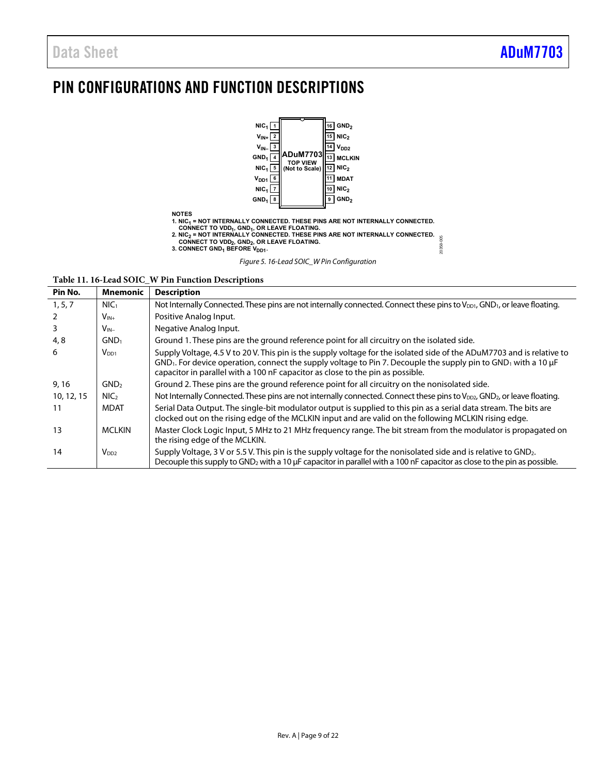# <span id="page-8-0"></span>PIN CONFIGURATIONS AND FUNCTION DESCRIPTIONS



**Table 11. 16-Lead SOIC\_W Pin Function Descriptions** 

| Pin No.    | <b>Mnemonic</b>  | <b>Description</b>                                                                                                                                                                                                                                                                                                                  |
|------------|------------------|-------------------------------------------------------------------------------------------------------------------------------------------------------------------------------------------------------------------------------------------------------------------------------------------------------------------------------------|
| 1, 5, 7    | NIC <sub>1</sub> | Not Internally Connected. These pins are not internally connected. Connect these pins to $V_{DD1}$ , GND <sub>1</sub> , or leave floating.                                                                                                                                                                                          |
|            | $V_{IN+}$        | Positive Analog Input.                                                                                                                                                                                                                                                                                                              |
| 3          | $V_{IN-}$        | Negative Analog Input.                                                                                                                                                                                                                                                                                                              |
| 4, 8       | GND <sub>1</sub> | Ground 1. These pins are the ground reference point for all circuitry on the isolated side.                                                                                                                                                                                                                                         |
| 6          | $V_{DD1}$        | Supply Voltage, 4.5 V to 20 V. This pin is the supply voltage for the isolated side of the ADuM7703 and is relative to<br>$GND1$ . For device operation, connect the supply voltage to Pin 7. Decouple the supply pin to $GND1$ with a 10 $\mu$ F<br>capacitor in parallel with a 100 nF capacitor as close to the pin as possible. |
| 9, 16      | GND <sub>2</sub> | Ground 2. These pins are the ground reference point for all circuitry on the nonisolated side.                                                                                                                                                                                                                                      |
| 10, 12, 15 | NIC <sub>2</sub> | Not Internally Connected. These pins are not internally connected. Connect these pins to V <sub>DD2</sub> , GND <sub>2</sub> , or leave floating.                                                                                                                                                                                   |
| 11         | <b>MDAT</b>      | Serial Data Output. The single-bit modulator output is supplied to this pin as a serial data stream. The bits are<br>clocked out on the rising edge of the MCLKIN input and are valid on the following MCLKIN rising edge.                                                                                                          |
| 13         | <b>MCLKIN</b>    | Master Clock Logic Input, 5 MHz to 21 MHz frequency range. The bit stream from the modulator is propagated on<br>the rising edge of the MCLKIN.                                                                                                                                                                                     |
| 14         | V <sub>DD2</sub> | Supply Voltage, 3 V or 5.5 V. This pin is the supply voltage for the nonisolated side and is relative to GND <sub>2</sub> .<br>Decouple this supply to GND <sub>2</sub> with a 10 $\mu$ F capacitor in parallel with a 100 nF capacitor as close to the pin as possible.                                                            |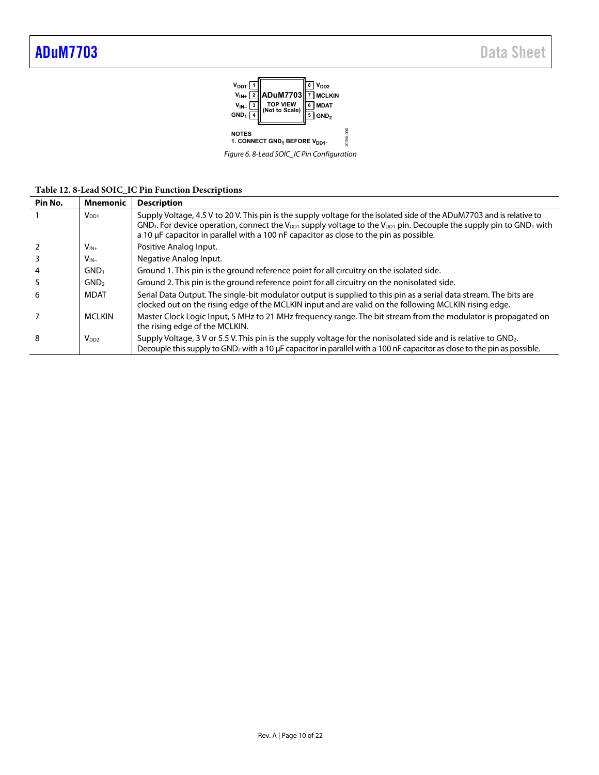

Figure 6. 8-Lead SOIC\_IC Pin Configuration

| Table 12.8-Lead SOIC_IC Pin Function Descriptions |  |  |
|---------------------------------------------------|--|--|
|---------------------------------------------------|--|--|

| Pin No. | <b>Mnemonic</b>  | <b>Description</b>                                                                                                                                                                                                                                                                                                                                                                          |
|---------|------------------|---------------------------------------------------------------------------------------------------------------------------------------------------------------------------------------------------------------------------------------------------------------------------------------------------------------------------------------------------------------------------------------------|
|         | $V_{DD1}$        | Supply Voltage, 4.5 V to 20 V. This pin is the supply voltage for the isolated side of the ADuM7703 and is relative to<br>GND <sub>1</sub> . For device operation, connect the V <sub>DD1</sub> supply voltage to the V <sub>DD1</sub> pin. Decouple the supply pin to GND <sub>1</sub> with<br>a 10 $\mu$ F capacitor in parallel with a 100 nF capacitor as close to the pin as possible. |
|         | $V_{IN+}$        | Positive Analog Input.                                                                                                                                                                                                                                                                                                                                                                      |
|         | $V_{IN-}$        | Negative Analog Input.                                                                                                                                                                                                                                                                                                                                                                      |
| 4       | GND <sub>1</sub> | Ground 1. This pin is the ground reference point for all circuitry on the isolated side.                                                                                                                                                                                                                                                                                                    |
| 5       | GND <sub>2</sub> | Ground 2. This pin is the ground reference point for all circuitry on the nonisolated side.                                                                                                                                                                                                                                                                                                 |
| 6       | <b>MDAT</b>      | Serial Data Output. The single-bit modulator output is supplied to this pin as a serial data stream. The bits are<br>clocked out on the rising edge of the MCLKIN input and are valid on the following MCLKIN rising edge.                                                                                                                                                                  |
|         | <b>MCLKIN</b>    | Master Clock Logic Input, 5 MHz to 21 MHz frequency range. The bit stream from the modulator is propagated on<br>the rising edge of the MCLKIN.                                                                                                                                                                                                                                             |
| 8       | V <sub>DD2</sub> | Supply Voltage, 3 V or 5.5 V. This pin is the supply voltage for the nonisolated side and is relative to GND <sub>2</sub> .<br>Decouple this supply to GND <sub>2</sub> with a 10 µF capacitor in parallel with a 100 nF capacitor as close to the pin as possible.                                                                                                                         |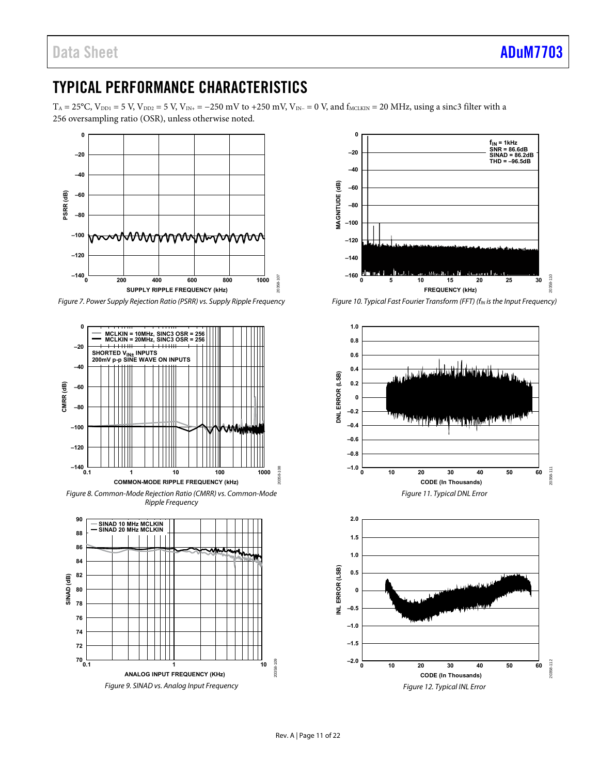# <span id="page-10-0"></span>TYPICAL PERFORMANCE CHARACTERISTICS

 $T_A = 25$ °C, V<sub>DD1</sub> = 5 V, V<sub>DD2</sub> = 5 V, V<sub>IN+</sub> = −250 mV to +250 mV, V<sub>IN-</sub> = 0 V, and f<sub>MCLKIN</sub> = 20 MHz, using a sinc3 filter with a 256 oversampling ratio (OSR), unless otherwise noted.



Figure 7. Power Supply Rejection Ratio (PSRR) vs. Supply Ripple Frequency



Figure 8. Common-Mode Rejection Ratio (CMRR) vs. Common-Mode Ripple Frequency





Figure 10. Typical Fast Fourier Transform (FFT) ( $f_{IN}$  is the Input Frequency)



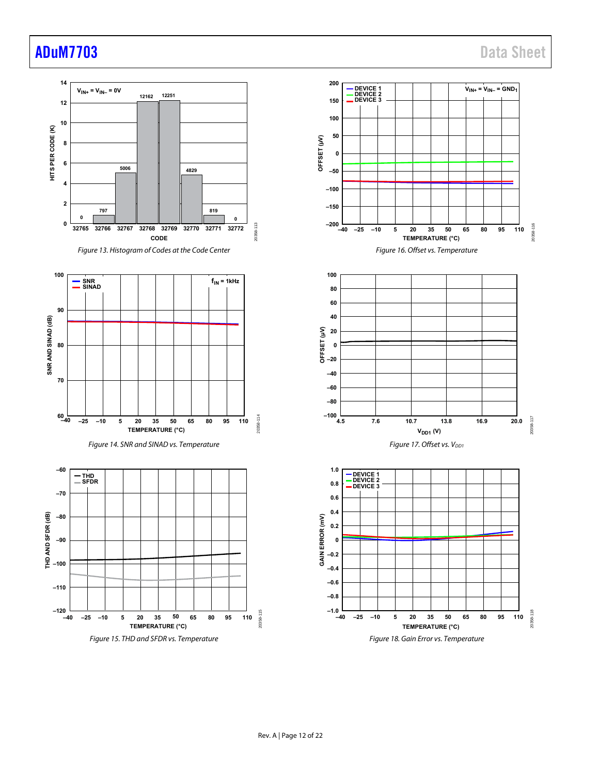# and a set of the state of the state of the state of the state of the state of the state of the state of the state of the state of the state of the state of the state of the state of the state of the state of the state of t



Figure 15. THD and SFDR vs. Temperature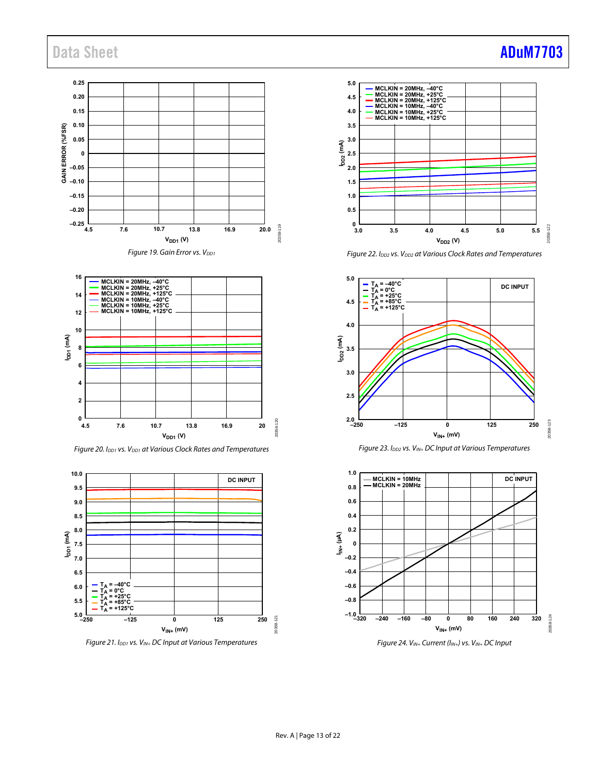#### **0.25 0.20 0.15 0.10 GAIN ERROR (%FSR) 0.05 0 –0.05 –0.10 –0.15 –0.20 –0.25** 20358-119 20358-119 **4.5 7.6 13.8 10.7 16.9 20.0**  $V_{DD1}$  (V) Figure 19. Gain Error vs. V<sub>DD1</sub>



Figure 20. I<sub>DD1</sub> vs. V<sub>DD1</sub> at Various Clock Rates and Temperatures



Figure 21.  $I_{DD1}$  vs.  $V_{IN+}$  DC Input at Various Temperatures



Figure 22. I<sub>DD2</sub> vs. V<sub>DD2</sub> at Various Clock Rates and Temperatures







#### Rev. A | Page 13 of 22

# Data Sheet **[ADuM7703](https://www.analog.com/ADuM7703?doc=ADuM7703.pdf)**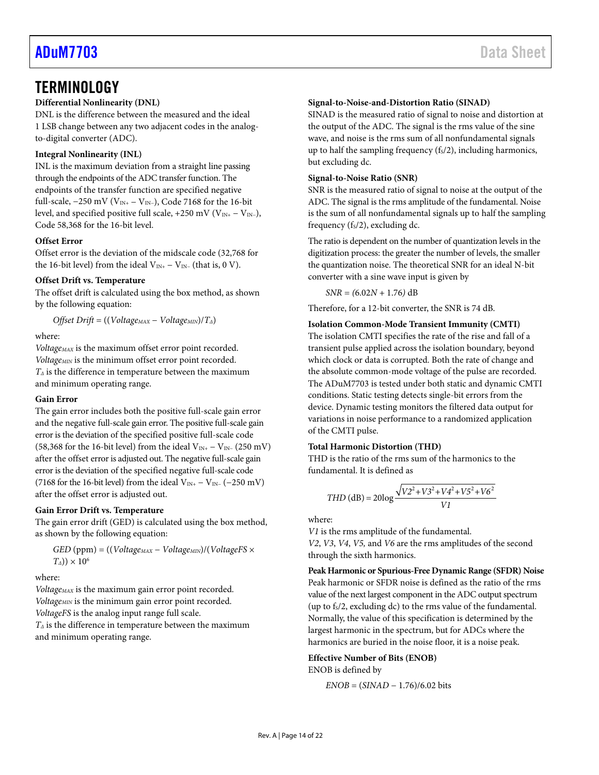## <span id="page-13-0"></span>**TERMINOLOGY**

### **Differential Nonlinearity (DNL)**

DNL is the difference between the measured and the ideal 1 LSB change between any two adjacent codes in the analogto-digital converter (ADC).

#### **Integral Nonlinearity (INL)**

INL is the maximum deviation from a straight line passing through the endpoints of the ADC transfer function. The endpoints of the transfer function are specified negative full-scale,  $-250$  mV (V<sub>IN+</sub>  $-$  V<sub>IN</sub>-), Code 7168 for the 16-bit level, and specified positive full scale, +250 mV ( $V_{IN+} - V_{IN-}$ ), Code 58,368 for the 16-bit level.

#### **Offset Error**

Offset error is the deviation of the midscale code (32,768 for the 16-bit level) from the ideal  $V_{IN+} - V_{IN-}$  (that is, 0 V).

#### **Offset Drift vs. Temperature**

The offset drift is calculated using the box method, as shown by the following equation:

*Offset Drift* = ((*VoltageMAX* − *VoltageMIN*)/*TΔ*)

#### where:

*VoltageMAX* is the maximum offset error point recorded. *VoltageMIN* is the minimum offset error point recorded. *TΔ* is the difference in temperature between the maximum and minimum operating range.

#### **Gain Error**

The gain error includes both the positive full-scale gain error and the negative full-scale gain error. The positive full-scale gain error is the deviation of the specified positive full-scale code (58,368 for the 16-bit level) from the ideal V<sub>IN+</sub> – V<sub>IN</sub>− (250 mV) after the offset error is adjusted out. The negative full-scale gain error is the deviation of the specified negative full-scale code (7168 for the 16-bit level) from the ideal V<sub>IN+</sub> – V<sub>IN</sub>− (−250 mV) after the offset error is adjusted out.

#### **Gain Error Drift vs. Temperature**

The gain error drift (GED) is calculated using the box method, as shown by the following equation:

*GED* (ppm) = ((*VoltageMAX* − *VoltageMIN*)/(*VoltageFS* ×  $T_{\Delta}$ )) × 10<sup>6</sup>

#### where:

*VoltageMAX* is the maximum gain error point recorded. *VoltageMIN* is the minimum gain error point recorded. *VoltageFS* is the analog input range full scale. *TΔ* is the difference in temperature between the maximum

and minimum operating range.

#### **Signal-to-Noise-and-Distortion Ratio (SINAD)**

SINAD is the measured ratio of signal to noise and distortion at the output of the ADC. The signal is the rms value of the sine wave, and noise is the rms sum of all nonfundamental signals up to half the sampling frequency  $(f<sub>s</sub>/2)$ , including harmonics, but excluding dc.

#### **Signal-to-Noise Ratio (SNR)**

SNR is the measured ratio of signal to noise at the output of the ADC. The signal is the rms amplitude of the fundamental. Noise is the sum of all nonfundamental signals up to half the sampling frequency  $(f<sub>S</sub>/2)$ , excluding dc.

The ratio is dependent on the number of quantization levels in the digitization process: the greater the number of levels, the smaller the quantization noise. The theoretical SNR for an ideal N-bit converter with a sine wave input is given by

 $SNR = (6.02N + 1.76)$  dB

Therefore, for a 12-bit converter, the SNR is 74 dB.

#### **Isolation Common-Mode Transient Immunity (CMTI)**

The isolation CMTI specifies the rate of the rise and fall of a transient pulse applied across the isolation boundary, beyond which clock or data is corrupted. Both the rate of change and the absolute common-mode voltage of the pulse are recorded. The ADuM7703 is tested under both static and dynamic CMTI conditions. Static testing detects single-bit errors from the device. Dynamic testing monitors the filtered data output for variations in noise performance to a randomized application of the CMTI pulse.

#### **Total Harmonic Distortion (THD)**

THD is the ratio of the rms sum of the harmonics to the fundamental. It is defined as

$$
THD (dB) = 20 \log \frac{\sqrt{V^2 + V^2 + V^4 + V^5^2 + V^6^2}}{V}
$$

where:

*V1* is the rms amplitude of the fundamental. *V2*, *V3*, *V4*, *V5,* and *V6* are the rms amplitudes of the second through the sixth harmonics.

**Peak Harmonic or Spurious-Free Dynamic Range (SFDR) Noise**  Peak harmonic or SFDR noise is defined as the ratio of the rms value of the next largest component in the ADC output spectrum (up to  $f_s/2$ , excluding dc) to the rms value of the fundamental. Normally, the value of this specification is determined by the largest harmonic in the spectrum, but for ADCs where the harmonics are buried in the noise floor, it is a noise peak.

#### **Effective Number of Bits (ENOB)**  ENOB is defined by

*ENOB* = (*SINAD* − 1.76)/6.02 bits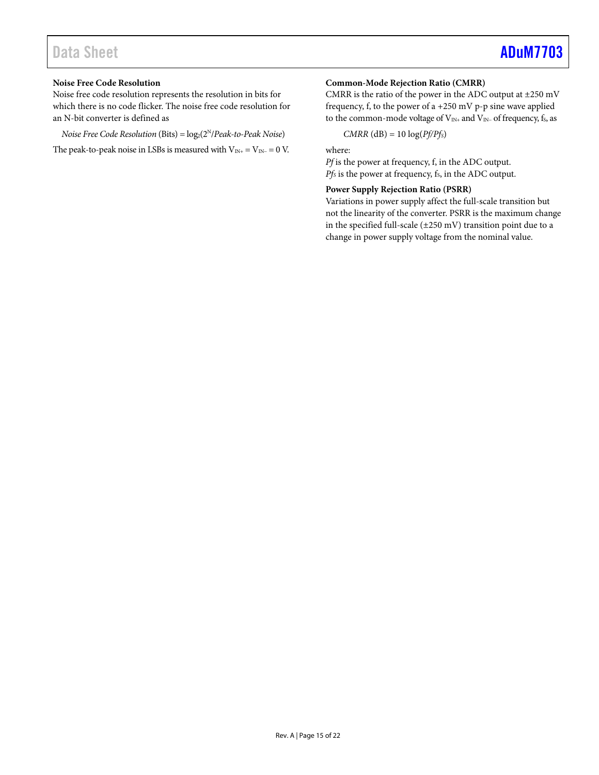# Data Sheet **[ADuM7703](https://www.analog.com/ADuM7703?doc=ADuM7703.pdf)**

#### **Noise Free Code Resolution**

Noise free code resolution represents the resolution in bits for which there is no code flicker. The noise free code resolution for an N-bit converter is defined as

*Noise Free Code Resolution* (Bits) =  $log_2(2^N/Peak-to-Peak Noise)$ 

The peak-to-peak noise in LSBs is measured with  $V_{IN+} = V_{IN-} = 0$  V.

#### **Common-Mode Rejection Ratio (CMRR)**

CMRR is the ratio of the power in the ADC output at  $\pm 250$  mV frequency, f, to the power of a +250 mV p-p sine wave applied to the common-mode voltage of V<sub>IN+</sub> and V<sub>IN</sub>- of frequency, f<sub>S</sub>, as

*CMRR* (dB) = 10 log(*Pf/PfS*)

where:

*Pf* is the power at frequency, f, in the ADC output. *Pfs* is the power at frequency, f<sub>s</sub>, in the ADC output.

#### **Power Supply Rejection Ratio (PSRR)**

Variations in power supply affect the full-scale transition but not the linearity of the converter. PSRR is the maximum change in the specified full-scale (±250 mV) transition point due to a change in power supply voltage from the nominal value.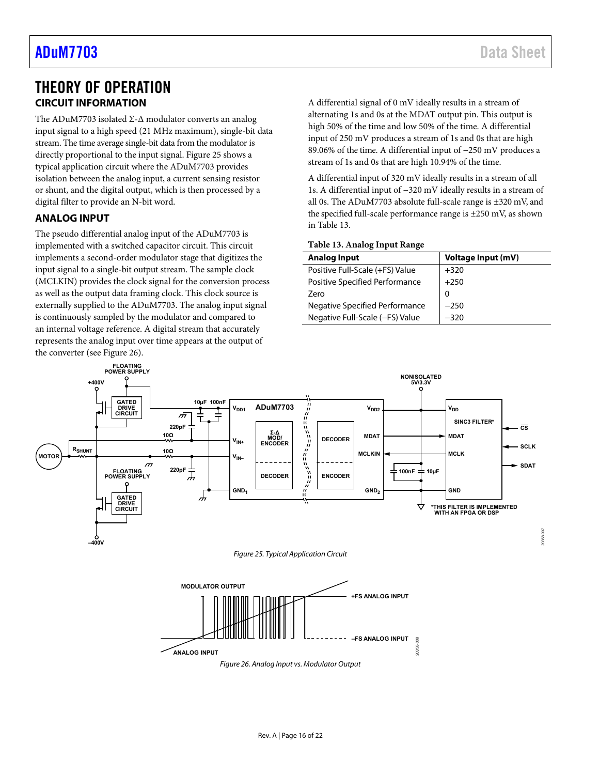## <span id="page-15-0"></span>THEORY OF OPERATION **CIRCUIT INFORMATION**

<span id="page-15-1"></span>The ADuM7703 isolated Σ-Δ modulator converts an analog input signal to a high speed (21 MHz maximum), single-bit data stream. The time average single-bit data from the modulator is directly proportional to the input signal[. Figure 25](#page-15-3) shows a typical application circuit where the ADuM7703 provides isolation between the analog input, a current sensing resistor or shunt, and the digital output, which is then processed by a digital filter to provide an N-bit word.

### <span id="page-15-2"></span>**ANALOG INPUT**

The pseudo differential analog input of the ADuM7703 is implemented with a switched capacitor circuit. This circuit implements a second-order modulator stage that digitizes the input signal to a single-bit output stream. The sample clock (MCLKIN) provides the clock signal for the conversion process as well as the output data framing clock. This clock source is externally supplied to the ADuM7703. The analog input signal is continuously sampled by the modulator and compared to an internal voltage reference. A digital stream that accurately represents the analog input over time appears at the output of the converter (se[e Figure 26\)](#page-15-4).

20358-007

A differential signal of 0 mV ideally results in a stream of alternating 1s and 0s at the MDAT output pin. This output is high 50% of the time and low 50% of the time. A differential input of 250 mV produces a stream of 1s and 0s that are high 89.06% of the time. A differential input of −250 mV produces a stream of 1s and 0s that are high 10.94% of the time.

A differential input of 320 mV ideally results in a stream of all 1s. A differential input of −320 mV ideally results in a stream of all 0s. The ADuM7703 absolute full-scale range is ±320 mV, and the specified full-scale performance range is ±250 mV, as shown in [Table 13.](#page-15-5) 

#### <span id="page-15-5"></span>**Table 13. Analog Input Range**

**–FS ANALOG INPUT**

20358-008

| <b>Analog Input</b>             | Voltage Input (mV) |
|---------------------------------|--------------------|
| Positive Full-Scale (+FS) Value | $+320$             |
| Positive Specified Performance  | $+250$             |
| Zero                            | 0                  |
| Negative Specified Performance  | $-250$             |
| Negative Full-Scale (-FS) Value | $-320$             |



Figure 26. Analog Input vs. Modulator Output

<span id="page-15-4"></span><span id="page-15-3"></span>**ANALOG INPUT**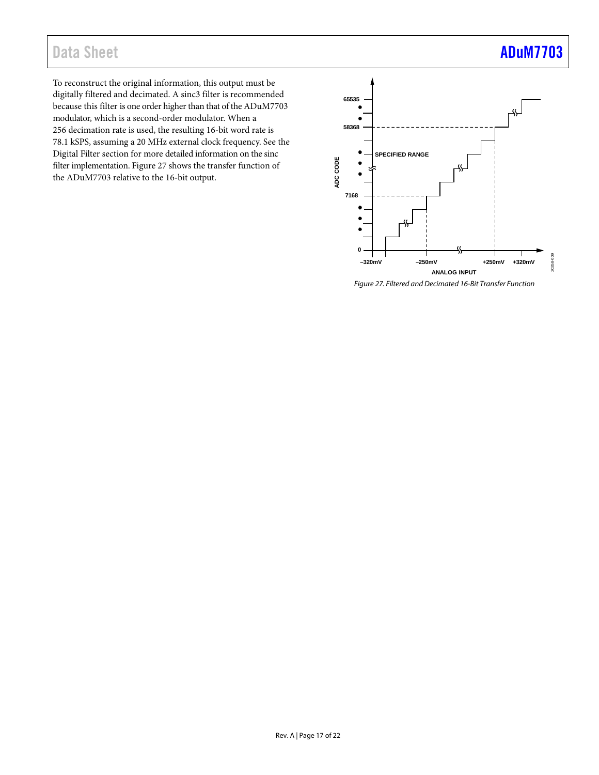# Data Sheet **[ADuM7703](https://www.analog.com/ADuM7703?doc=ADuM7703.pdf)**

To reconstruct the original information, this output must be digitally filtered and decimated. A sinc3 filter is recommended because this filter is one order higher than that of the ADuM7703 modulator, which is a second-order modulator. When a 256 decimation rate is used, the resulting 16-bit word rate is 78.1 kSPS, assuming a 20 MHz external clock frequency. See the [Digital Filter s](#page-18-0)ection for more detailed information on the sinc filter implementation[. Figure 27 s](#page-16-0)hows the transfer function of the ADuM7703 relative to the 16-bit output.



<span id="page-16-0"></span>Figure 27. Filtered and Decimated 16-Bit Transfer Function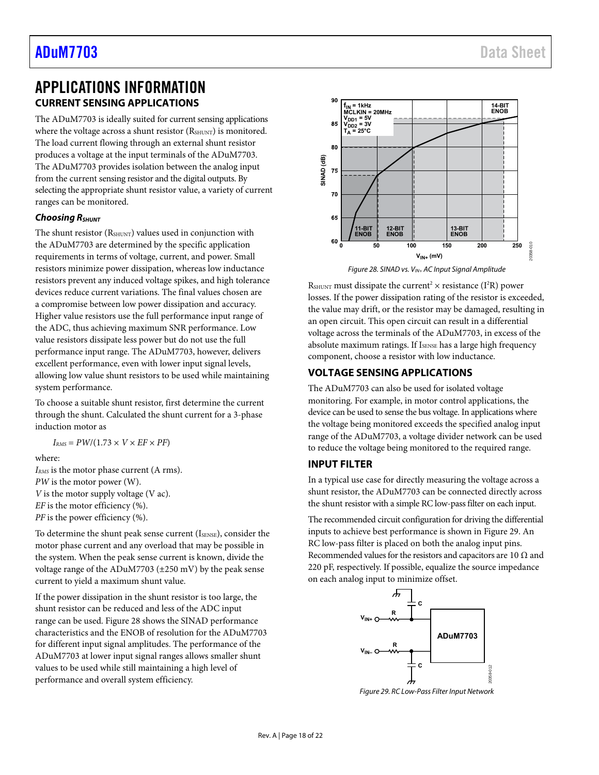## [ADuM7703](https://www.analog.com/ADuM7703?doc=ADuM7703.pdf) Data Sheet

## <span id="page-17-1"></span><span id="page-17-0"></span>APPLICATIONS INFORMATION **CURRENT SENSING APPLICATIONS**

The ADuM7703 is ideally suited for current sensing applications where the voltage across a shunt resistor (RSHUNT) is monitored. The load current flowing through an external shunt resistor produces a voltage at the input terminals of the ADuM7703. The ADuM7703 provides isolation between the analog input from the current sensing resistor and the digital outputs. By selecting the appropriate shunt resistor value, a variety of current ranges can be monitored.

#### **Choosing RSHUNT**

The shunt resistor (RSHUNT) values used in conjunction with the ADuM7703 are determined by the specific application requirements in terms of voltage, current, and power. Small resistors minimize power dissipation, whereas low inductance resistors prevent any induced voltage spikes, and high tolerance devices reduce current variations. The final values chosen are a compromise between low power dissipation and accuracy. Higher value resistors use the full performance input range of the ADC, thus achieving maximum SNR performance. Low value resistors dissipate less power but do not use the full performance input range. The ADuM7703, however, delivers excellent performance, even with lower input signal levels, allowing low value shunt resistors to be used while maintaining system performance.

To choose a suitable shunt resistor, first determine the current through the shunt. Calculated the shunt current for a 3-phase induction motor as

$$
I_{RMS} = PW/(1.73 \times V \times EF \times PF)
$$

where:

*IRMS* is the motor phase current (A rms). *PW* is the motor power (W). *V* is the motor supply voltage (V ac). *EF* is the motor efficiency (%).

*PF* is the power efficiency (%).

To determine the shunt peak sense current (ISENSE), consider the motor phase current and any overload that may be possible in the system. When the peak sense current is known, divide the voltage range of the ADuM7703 (±250 mV) by the peak sense current to yield a maximum shunt value.

If the power dissipation in the shunt resistor is too large, the shunt resistor can be reduced and less of the ADC input range can be used. [Figure 28 s](#page-17-4)hows the SINAD performance characteristics and the ENOB of resolution for the ADuM7703 for different input signal amplitudes. The performance of the ADuM7703 at lower input signal ranges allows smaller shunt values to be used while still maintaining a high level of performance and overall system efficiency.



Figure 28. SINAD vs.  $V_{IN+}$  AC Input Signal Amplitude

<span id="page-17-4"></span>RSHUNT must dissipate the current<sup>2</sup>  $\times$  resistance (I<sup>2</sup>R) power losses. If the power dissipation rating of the resistor is exceeded, the value may drift, or the resistor may be damaged, resulting in an open circuit. This open circuit can result in a differential voltage across the terminals of the ADuM7703, in excess of the absolute maximum ratings. If ISENSE has a large high frequency component, choose a resistor with low inductance.

#### <span id="page-17-2"></span>**VOLTAGE SENSING APPLICATIONS**

The ADuM7703 can also be used for isolated voltage monitoring. For example, in motor control applications, the device can be used to sense the bus voltage. In applications where the voltage being monitored exceeds the specified analog input range of the ADuM7703, a voltage divider network can be used to reduce the voltage being monitored to the required range.

#### <span id="page-17-3"></span>**INPUT FILTER**

In a typical use case for directly measuring the voltage across a shunt resistor, the ADuM7703 can be connected directly across the shunt resistor with a simple RC low-pass filter on each input.

The recommended circuit configuration for driving the differential inputs to achieve best performance is shown i[n Figure 29.](#page-17-5) An RC low-pass filter is placed on both the analog input pins. Recommended values for the resistors and capacitors are 10  $\Omega$  and 220 pF, respectively. If possible, equalize the source impedance on each analog input to minimize offset.



<span id="page-17-5"></span>Figure 29. RC Low-Pass Filter Input Network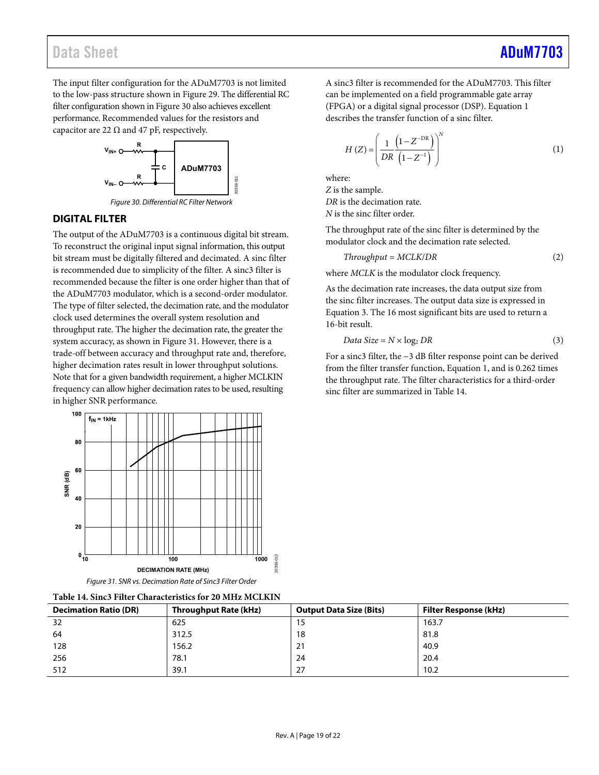The input filter configuration for the ADuM7703 is not limited to the low-pass structure shown in [Figure 29.](#page-17-5) The differential RC filter configuration shown i[n Figure 30 a](#page-18-1)lso achieves excellent performance. Recommended values for the resistors and capacitor are 22  $\Omega$  and 47 pF, respectively.



Figure 30. Differential RC Filter Network

#### <span id="page-18-1"></span><span id="page-18-0"></span>**DIGITAL FILTER**

The output of the ADuM7703 is a continuous digital bit stream. To reconstruct the original input signal information, this output bit stream must be digitally filtered and decimated. A sinc filter is recommended due to simplicity of the filter. A sinc3 filter is recommended because the filter is one order higher than that of the ADuM7703 modulator, which is a second-order modulator. The type of filter selected, the decimation rate, and the modulator clock used determines the overall system resolution and throughput rate. The higher the decimation rate, the greater the system accuracy, as shown in [Figure 31.](#page-18-2) However, there is a trade-off between accuracy and throughput rate and, therefore, higher decimation rates result in lower throughput solutions. Note that for a given bandwidth requirement, a higher MCLKIN frequency can allow higher decimation rates to be used, resulting in higher SNR performance.



| <b>Figure 31. SIVR VS. Decimation Rate of Sirics Filter Order</b> |  |
|-------------------------------------------------------------------|--|
|                                                                   |  |

A sinc3 filter is recommended for the ADuM7703. This filter can be implemented on a field programmable gate array (FPGA) or a digital signal processor (DSP). Equation 1 describes the transfer function of a sinc filter.

$$
H(Z) = \left(\frac{1}{DR} \frac{\left(1 - Z^{-DR}\right)}{\left(1 - Z^{-1}\right)}\right)^N
$$
 (1)

where:

*Z* is the sample. *DR* is the decimation rate. *N* is the sinc filter order.

The throughput rate of the sinc filter is determined by the modulator clock and the decimation rate selected.

$$
Throughput = MCLK/DR
$$
\n(2)

where *MCLK* is the modulator clock frequency.

As the decimation rate increases, the data output size from the sinc filter increases. The output data size is expressed in Equation 3. The 16 most significant bits are used to return a 16-bit result.

$$
Data Size = N \times \log_2 DR \tag{3}
$$

For a sinc3 filter, the −3 dB filter response point can be derived from the filter transfer function, Equation 1, and is 0.262 times the throughput rate. The filter characteristics for a third-order sinc filter are summarized i[n Table 14.](#page-18-3) 

<span id="page-18-3"></span><span id="page-18-2"></span>

| Table 14. Sinc3 Filter Characteristics for 20 MHz MCLKIN |                       |                                |                              |  |
|----------------------------------------------------------|-----------------------|--------------------------------|------------------------------|--|
| <b>Decimation Ratio (DR)</b>                             | Throughput Rate (kHz) | <b>Output Data Size (Bits)</b> | <b>Filter Response (kHz)</b> |  |
| 32                                                       | 625                   | 15                             | 163.7                        |  |
| 64                                                       | 312.5                 | 18                             | 81.8                         |  |
| 128                                                      | 156.2                 | 21                             | 40.9                         |  |
| 256                                                      | 78.1                  | 24                             | 20.4                         |  |
| 512                                                      | 39.1                  | 27                             | 10.2                         |  |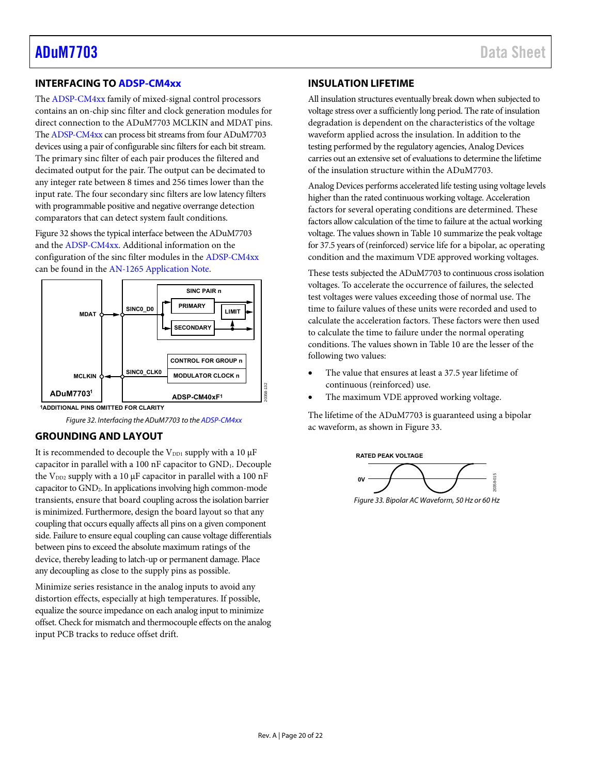#### <span id="page-19-0"></span>**INTERFACING TO [ADSP-CM4xx](https://www.analog.com/en/products/processors-dsp/microcontrollers/cm4xx-mixed-signal-control-processors.html?doc=ADuM7703.pdf)**

The [ADSP-CM4xx f](https://www.analog.com/en/products/processors-dsp/microcontrollers/cm4xx-mixed-signal-control-processors.html?doc=ADuM7703.pdf)amily of mixed-signal control processors contains an on-chip sinc filter and clock generation modules for direct connection to the ADuM7703 MCLKIN and MDAT pins. Th[e ADSP-CM4xx c](https://www.analog.com/en/products/processors-dsp/microcontrollers/cm4xx-mixed-signal-control-processors.html?doc=ADuM7703.pdf)an process bit streams from four ADuM7703 devices using a pair of configurable sinc filters for each bit stream. The primary sinc filter of each pair produces the filtered and decimated output for the pair. The output can be decimated to any integer rate between 8 times and 256 times lower than the input rate. The four secondary sinc filters are low latency filters with programmable positive and negative overrange detection comparators that can detect system fault conditions.

[Figure 32 s](#page-19-3)hows the typical interface between the ADuM7703 and th[e ADSP-CM4xx.](https://www.analog.com/en/products/processors-dsp/microcontrollers/cm4xx-mixed-signal-control-processors.html?doc=ADuM7703.pdf) Additional information on the configuration of the sinc filter modules in th[e ADSP-CM4xx](https://www.analog.com/en/products/processors-dsp/microcontrollers/cm4xx-mixed-signal-control-processors.html?doc=ADuM7703.pdf) can be found in th[e AN-1265 Application Note.](https://www.analog.com/AN-1265?doc=ADuM7703.pdf) 



<span id="page-19-3"></span>**<sup>1</sup>ADDITIONAL PINS OMITTED FOR CLARITY**

Figure 32. Interfacing the ADuM7703 to th[e ADSP-CM4xx](https://www.analog.com/en/products/processors-dsp/microcontrollers/cm4xx-mixed-signal-control-processors.html?doc=ADuM7703.pdf)

#### <span id="page-19-1"></span>**GROUNDING AND LAYOUT**

It is recommended to decouple the  $V_{DD1}$  supply with a 10  $\mu$ F capacitor in parallel with a 100 nF capacitor to GND1. Decouple the  $V_{DD2}$  supply with a 10  $\mu$ F capacitor in parallel with a 100 nF capacitor to GND2. In applications involving high common-mode transients, ensure that board coupling across the isolation barrier is minimized. Furthermore, design the board layout so that any coupling that occurs equally affects all pins on a given component side. Failure to ensure equal coupling can cause voltage differentials between pins to exceed the absolute maximum ratings of the device, thereby leading to latch-up or permanent damage. Place any decoupling as close to the supply pins as possible.

Minimize series resistance in the analog inputs to avoid any distortion effects, especially at high temperatures. If possible, equalize the source impedance on each analog input to minimize offset. Check for mismatch and thermocouple effects on the analog input PCB tracks to reduce offset drift.

#### <span id="page-19-2"></span>**INSULATION LIFETIME**

All insulation structures eventually break down when subjected to voltage stress over a sufficiently long period. The rate of insulation degradation is dependent on the characteristics of the voltage waveform applied across the insulation. In addition to the testing performed by the regulatory agencies, Analog Devices carries out an extensive set of evaluations to determine the lifetime of the insulation structure within the ADuM7703.

Analog Devices performs accelerated life testing using voltage levels higher than the rated continuous working voltage. Acceleration factors for several operating conditions are determined. These factors allow calculation of the time to failure at the actual working voltage. The values shown i[n Table 10 s](#page-7-4)ummarize the peak voltage for 37.5 years of (reinforced) service life for a bipolar, ac operating condition and the maximum VDE approved working voltages.

These tests subjected the ADuM7703 to continuous cross isolation voltages. To accelerate the occurrence of failures, the selected test voltages were values exceeding those of normal use. The time to failure values of these units were recorded and used to calculate the acceleration factors. These factors were then used to calculate the time to failure under the normal operating conditions. The values shown i[n Table 10 a](#page-7-4)re the lesser of the following two values:

- The value that ensures at least a 37.5 year lifetime of continuous (reinforced) use.
- The maximum VDE approved working voltage.

The lifetime of the ADuM7703 is guaranteed using a bipolar ac waveform, as shown i[n Figure 33.](#page-19-4) 



<span id="page-19-4"></span>Figure 33. Bipolar AC Waveform, 50 Hz or 60 Hz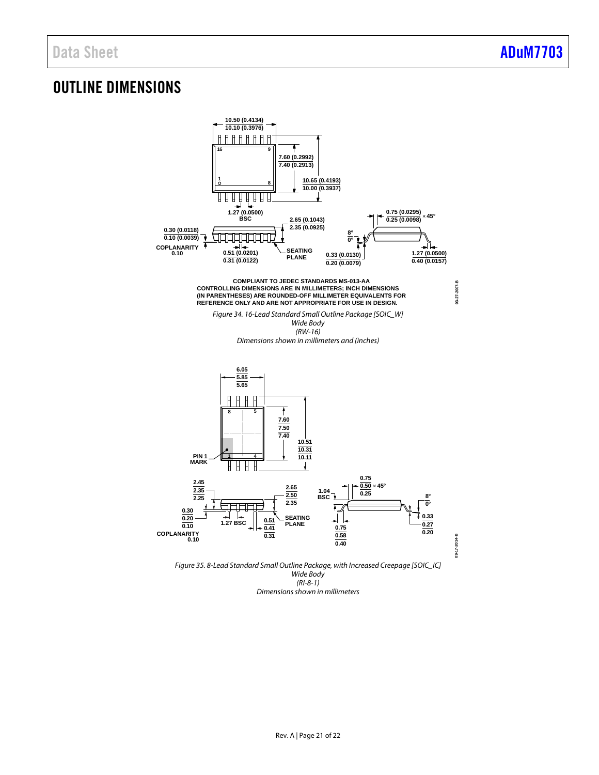## <span id="page-20-0"></span>OUTLINE DIMENSIONS



(RI-8-1) Dimensions shown in millimeters